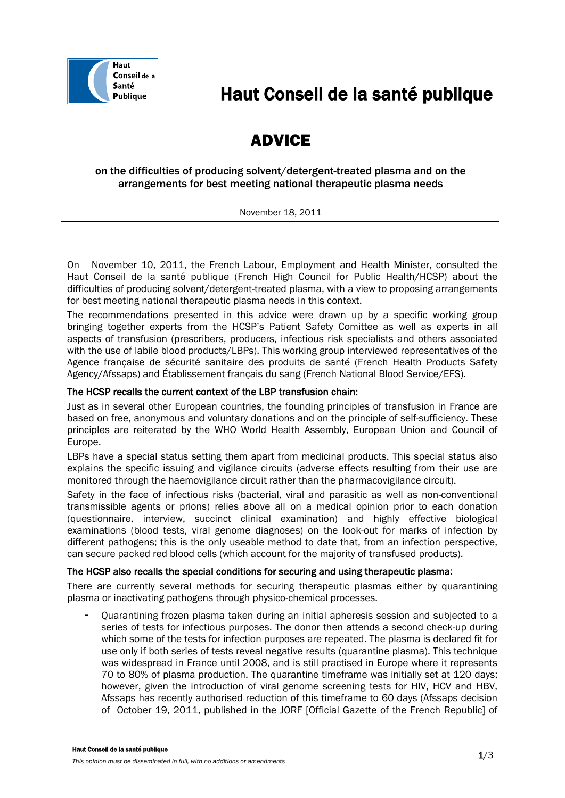

# ADVICE

# on the difficulties of producing solvent/detergent-treated plasma and on the arrangements for best meeting national therapeutic plasma needs

November 18, 2011

On November 10, 2011, the French Labour, Employment and Health Minister, consulted the Haut Conseil de la santé publique (French High Council for Public Health/HCSP) about the difficulties of producing solvent/detergent-treated plasma, with a view to proposing arrangements for best meeting national therapeutic plasma needs in this context.

The recommendations presented in this advice were drawn up by a specific working group bringing together experts from the HCSP's Patient Safety Comittee as well as experts in all aspects of transfusion (prescribers, producers, infectious risk specialists and others associated with the use of labile blood products/LBPs). This working group interviewed representatives of the Agence française de sécurité sanitaire des produits de santé (French Health Products Safety Agency/Afssaps) and Établissement français du sang (French National Blood Service/EFS).

# The HCSP recalls the current context of the LBP transfusion chain:

Just as in several other European countries, the founding principles of transfusion in France are based on free, anonymous and voluntary donations and on the principle of self-sufficiency. These principles are reiterated by the WHO World Health Assembly, European Union and Council of Europe.

LBPs have a special status setting them apart from medicinal products. This special status also explains the specific issuing and vigilance circuits (adverse effects resulting from their use are monitored through the haemovigilance circuit rather than the pharmacovigilance circuit).

Safety in the face of infectious risks (bacterial, viral and parasitic as well as non-conventional transmissible agents or prions) relies above all on a medical opinion prior to each donation (questionnaire, interview, succinct clinical examination) and highly effective biological examinations (blood tests, viral genome diagnoses) on the look-out for marks of infection by different pathogens; this is the only useable method to date that, from an infection perspective, can secure packed red blood cells (which account for the majority of transfused products).

## The HCSP also recalls the special conditions for securing and using therapeutic plasma:

There are currently several methods for securing therapeutic plasmas either by quarantining plasma or inactivating pathogens through physico-chemical processes.

- Quarantining frozen plasma taken during an initial apheresis session and subjected to a series of tests for infectious purposes. The donor then attends a second check-up during which some of the tests for infection purposes are repeated. The plasma is declared fit for use only if both series of tests reveal negative results (quarantine plasma). This technique was widespread in France until 2008, and is still practised in Europe where it represents 70 to 80% of plasma production. The quarantine timeframe was initially set at 120 days; however, given the introduction of viral genome screening tests for HIV, HCV and HBV, Afssaps has recently authorised reduction of this timeframe to 60 days (Afssaps decision of October 19, 2011, published in the JORF [Official Gazette of the French Republic] of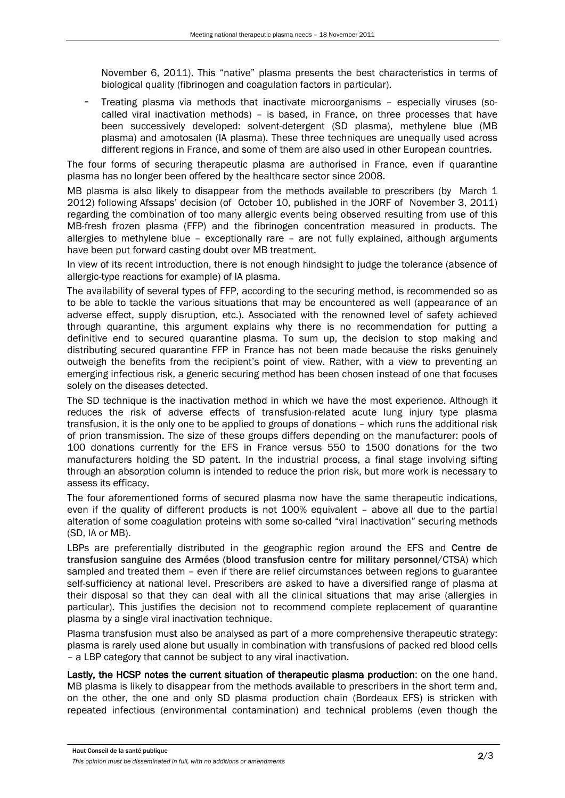November 6, 2011). This "native" plasma presents the best characteristics in terms of biological quality (fibrinogen and coagulation factors in particular).

- Treating plasma via methods that inactivate microorganisms – especially viruses (socalled viral inactivation methods) – is based, in France, on three processes that have been successively developed: solvent-detergent (SD plasma), methylene blue (MB plasma) and amotosalen (IA plasma). These three techniques are unequally used across different regions in France, and some of them are also used in other European countries.

The four forms of securing therapeutic plasma are authorised in France, even if quarantine plasma has no longer been offered by the healthcare sector since 2008.

MB plasma is also likely to disappear from the methods available to prescribers (by March 1 2012) following Afssaps' decision (of October 10, published in the JORF of November 3, 2011) regarding the combination of too many allergic events being observed resulting from use of this MB-fresh frozen plasma (FFP) and the fibrinogen concentration measured in products. The allergies to methylene blue – exceptionally rare – are not fully explained, although arguments have been put forward casting doubt over MB treatment.

In view of its recent introduction, there is not enough hindsight to judge the tolerance (absence of allergic-type reactions for example) of IA plasma.

The availability of several types of FFP, according to the securing method, is recommended so as to be able to tackle the various situations that may be encountered as well (appearance of an adverse effect, supply disruption, etc.). Associated with the renowned level of safety achieved through quarantine, this argument explains why there is no recommendation for putting a definitive end to secured quarantine plasma. To sum up, the decision to stop making and distributing secured quarantine FFP in France has not been made because the risks genuinely outweigh the benefits from the recipient's point of view. Rather, with a view to preventing an emerging infectious risk, a generic securing method has been chosen instead of one that focuses solely on the diseases detected.

The SD technique is the inactivation method in which we have the most experience. Although it reduces the risk of adverse effects of transfusion-related acute lung injury type plasma transfusion, it is the only one to be applied to groups of donations – which runs the additional risk of prion transmission. The size of these groups differs depending on the manufacturer: pools of 100 donations currently for the EFS in France versus 550 to 1500 donations for the two manufacturers holding the SD patent. In the industrial process, a final stage involving sifting through an absorption column is intended to reduce the prion risk, but more work is necessary to assess its efficacy.

The four aforementioned forms of secured plasma now have the same therapeutic indications, even if the quality of different products is not 100% equivalent – above all due to the partial alteration of some coagulation proteins with some so-called "viral inactivation" securing methods (SD, IA or MB).

LBPs are preferentially distributed in the geographic region around the EFS and Centre de transfusion sanguine des Armées (blood transfusion centre for military personnel/CTSA) which sampled and treated them – even if there are relief circumstances between regions to guarantee self-sufficiency at national level. Prescribers are asked to have a diversified range of plasma at their disposal so that they can deal with all the clinical situations that may arise (allergies in particular). This justifies the decision not to recommend complete replacement of quarantine plasma by a single viral inactivation technique.

Plasma transfusion must also be analysed as part of a more comprehensive therapeutic strategy: plasma is rarely used alone but usually in combination with transfusions of packed red blood cells – a LBP category that cannot be subject to any viral inactivation.

Lastly, the HCSP notes the current situation of therapeutic plasma production: on the one hand, MB plasma is likely to disappear from the methods available to prescribers in the short term and, on the other, the one and only SD plasma production chain (Bordeaux EFS) is stricken with repeated infectious (environmental contamination) and technical problems (even though the